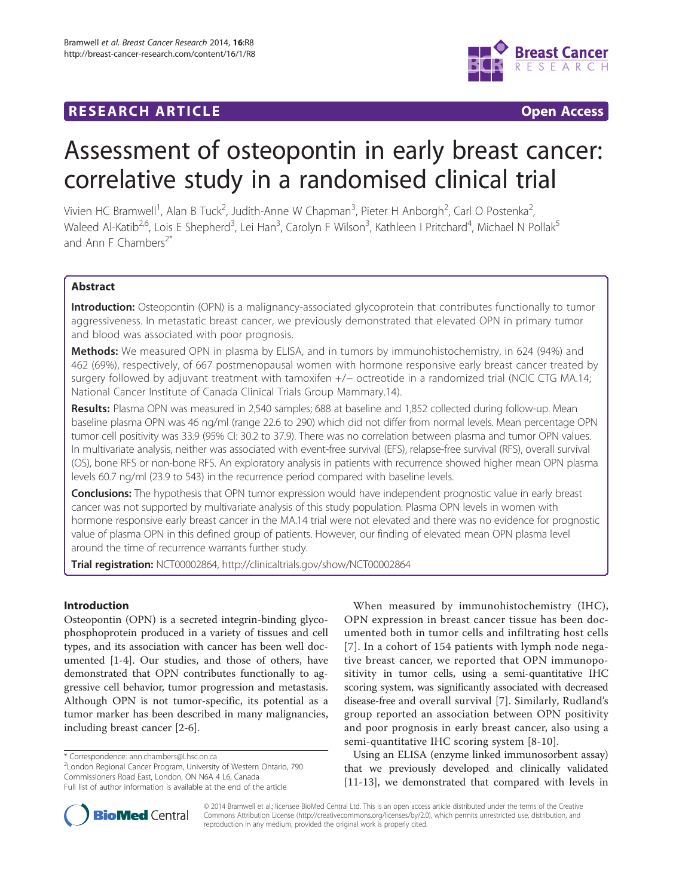# **RESEARCH ARTICLE Example 2018 12:00 Department of the CONNECTION CONNECTION CONNECTION CONNECTION**



# Assessment of osteopontin in early breast cancer: correlative study in a randomised clinical trial

Vivien HC Bramwell<sup>1</sup>, Alan B Tuck<sup>2</sup>, Judith-Anne W Chapman<sup>3</sup>, Pieter H Anborgh<sup>2</sup>, Carl O Postenka<sup>2</sup> , Waleed Al-Katib<sup>2,6</sup>, Lois E Shepherd<sup>3</sup>, Lei Han<sup>3</sup>, Carolyn F Wilson<sup>3</sup>, Kathleen I Pritchard<sup>4</sup>, Michael N Pollak<sup>5</sup> and Ann F Chambers<sup>2\*</sup>

# Abstract

Introduction: Osteopontin (OPN) is a malignancy-associated glycoprotein that contributes functionally to tumor aggressiveness. In metastatic breast cancer, we previously demonstrated that elevated OPN in primary tumor and blood was associated with poor prognosis.

Methods: We measured OPN in plasma by ELISA, and in tumors by immunohistochemistry, in 624 (94%) and 462 (69%), respectively, of 667 postmenopausal women with hormone responsive early breast cancer treated by surgery followed by adjuvant treatment with tamoxifen +/− octreotide in a randomized trial (NCIC CTG MA.14; National Cancer Institute of Canada Clinical Trials Group Mammary.14).

Results: Plasma OPN was measured in 2,540 samples; 688 at baseline and 1,852 collected during follow-up. Mean baseline plasma OPN was 46 ng/ml (range 22.6 to 290) which did not differ from normal levels. Mean percentage OPN tumor cell positivity was 33.9 (95% CI: 30.2 to 37.9). There was no correlation between plasma and tumor OPN values. In multivariate analysis, neither was associated with event-free survival (EFS), relapse-free survival (RFS), overall survival (OS), bone RFS or non-bone RFS. An exploratory analysis in patients with recurrence showed higher mean OPN plasma levels 60.7 ng/ml (23.9 to 543) in the recurrence period compared with baseline levels.

**Conclusions:** The hypothesis that OPN tumor expression would have independent prognostic value in early breast cancer was not supported by multivariate analysis of this study population. Plasma OPN levels in women with hormone responsive early breast cancer in the MA.14 trial were not elevated and there was no evidence for prognostic value of plasma OPN in this defined group of patients. However, our finding of elevated mean OPN plasma level around the time of recurrence warrants further study.

Trial registration: NCT00002864,<http://clinicaltrials.gov/show/NCT00002864>

# Introduction

Osteopontin (OPN) is a secreted integrin-binding glycophosphoprotein produced in a variety of tissues and cell types, and its association with cancer has been well documented [[1-4](#page-8-0)]. Our studies, and those of others, have demonstrated that OPN contributes functionally to aggressive cell behavior, tumor progression and metastasis. Although OPN is not tumor-specific, its potential as a tumor marker has been described in many malignancies, including breast cancer [\[2](#page-8-0)-[6\]](#page-8-0).

\* Correspondence: [ann.chambers@Lhsc.on.ca](mailto:ann.chambers@Lhsc.on.ca) <sup>2</sup>

London Regional Cancer Program, University of Western Ontario, 790 Commissioners Road East, London, ON N6A 4 L6, Canada Full list of author information is available at the end of the article

Using an ELISA (enzyme linked immunosorbent assay) that we previously developed and clinically validated [[11-13](#page-8-0)], we demonstrated that compared with levels in



© 2014 Bramwell et al.; licensee BioMed Central Ltd. This is an open access article distributed under the terms of the Creative Commons Attribution License [\(http://creativecommons.org/licenses/by/2.0\)](http://creativecommons.org/licenses/by/2.0), which permits unrestricted use, distribution, and reproduction in any medium, provided the original work is properly cited.

When measured by immunohistochemistry (IHC), OPN expression in breast cancer tissue has been documented both in tumor cells and infiltrating host cells [[7](#page-8-0)]. In a cohort of 154 patients with lymph node negative breast cancer, we reported that OPN immunopositivity in tumor cells, using a semi-quantitative IHC scoring system, was significantly associated with decreased disease-free and overall survival [[7\]](#page-8-0). Similarly, Rudland's group reported an association between OPN positivity and poor prognosis in early breast cancer, also using a semi-quantitative IHC scoring system [\[8-10](#page-8-0)].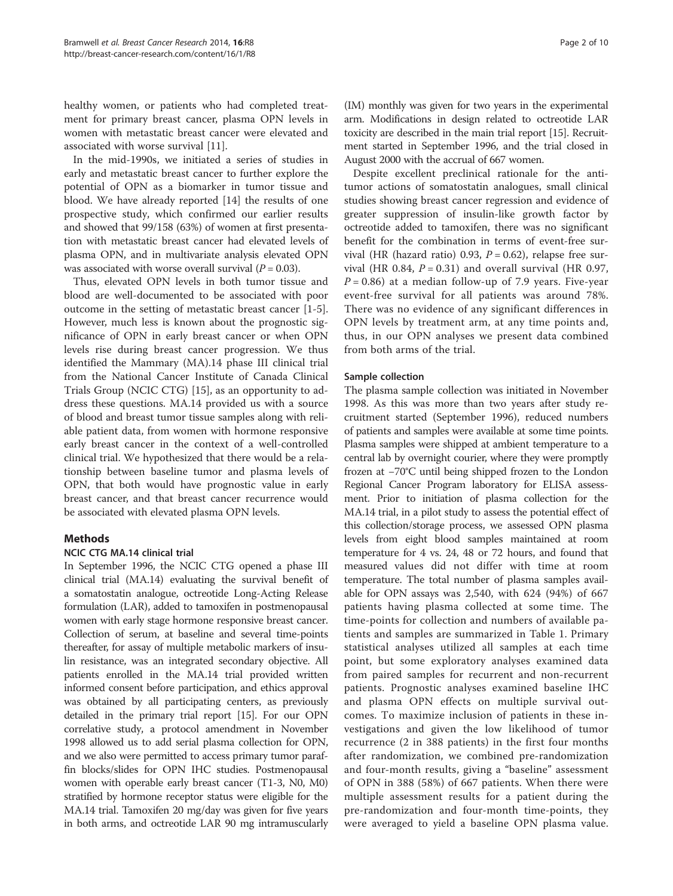healthy women, or patients who had completed treatment for primary breast cancer, plasma OPN levels in women with metastatic breast cancer were elevated and associated with worse survival [\[11](#page-8-0)].

In the mid-1990s, we initiated a series of studies in early and metastatic breast cancer to further explore the potential of OPN as a biomarker in tumor tissue and blood. We have already reported [\[14](#page-8-0)] the results of one prospective study, which confirmed our earlier results and showed that 99/158 (63%) of women at first presentation with metastatic breast cancer had elevated levels of plasma OPN, and in multivariate analysis elevated OPN was associated with worse overall survival  $(P = 0.03)$ .

Thus, elevated OPN levels in both tumor tissue and blood are well-documented to be associated with poor outcome in the setting of metastatic breast cancer [[1-5](#page-8-0)]. However, much less is known about the prognostic significance of OPN in early breast cancer or when OPN levels rise during breast cancer progression. We thus identified the Mammary (MA).14 phase III clinical trial from the National Cancer Institute of Canada Clinical Trials Group (NCIC CTG) [[15\]](#page-8-0), as an opportunity to address these questions. MA.14 provided us with a source of blood and breast tumor tissue samples along with reliable patient data, from women with hormone responsive early breast cancer in the context of a well-controlled clinical trial. We hypothesized that there would be a relationship between baseline tumor and plasma levels of OPN, that both would have prognostic value in early breast cancer, and that breast cancer recurrence would be associated with elevated plasma OPN levels.

# **Methods**

# NCIC CTG MA.14 clinical trial

In September 1996, the NCIC CTG opened a phase III clinical trial (MA.14) evaluating the survival benefit of a somatostatin analogue, octreotide Long-Acting Release formulation (LAR), added to tamoxifen in postmenopausal women with early stage hormone responsive breast cancer. Collection of serum, at baseline and several time-points thereafter, for assay of multiple metabolic markers of insulin resistance, was an integrated secondary objective. All patients enrolled in the MA.14 trial provided written informed consent before participation, and ethics approval was obtained by all participating centers, as previously detailed in the primary trial report [\[15](#page-8-0)]. For our OPN correlative study, a protocol amendment in November 1998 allowed us to add serial plasma collection for OPN, and we also were permitted to access primary tumor paraffin blocks/slides for OPN IHC studies. Postmenopausal women with operable early breast cancer (T1-3, N0, M0) stratified by hormone receptor status were eligible for the MA.14 trial. Tamoxifen 20 mg/day was given for five years in both arms, and octreotide LAR 90 mg intramuscularly

(IM) monthly was given for two years in the experimental arm. Modifications in design related to octreotide LAR toxicity are described in the main trial report [\[15\]](#page-8-0). Recruitment started in September 1996, and the trial closed in August 2000 with the accrual of 667 women.

Despite excellent preclinical rationale for the antitumor actions of somatostatin analogues, small clinical studies showing breast cancer regression and evidence of greater suppression of insulin-like growth factor by octreotide added to tamoxifen, there was no significant benefit for the combination in terms of event-free survival (HR (hazard ratio) 0.93,  $P = 0.62$ ), relapse free survival (HR 0.84,  $P = 0.31$ ) and overall survival (HR 0.97,  $P = 0.86$ ) at a median follow-up of 7.9 years. Five-year event-free survival for all patients was around 78%. There was no evidence of any significant differences in OPN levels by treatment arm, at any time points and, thus, in our OPN analyses we present data combined from both arms of the trial.

#### Sample collection

The plasma sample collection was initiated in November 1998. As this was more than two years after study recruitment started (September 1996), reduced numbers of patients and samples were available at some time points. Plasma samples were shipped at ambient temperature to a central lab by overnight courier, where they were promptly frozen at −70°C until being shipped frozen to the London Regional Cancer Program laboratory for ELISA assessment. Prior to initiation of plasma collection for the MA.14 trial, in a pilot study to assess the potential effect of this collection/storage process, we assessed OPN plasma levels from eight blood samples maintained at room temperature for 4 vs. 24, 48 or 72 hours, and found that measured values did not differ with time at room temperature. The total number of plasma samples available for OPN assays was 2,540, with 624 (94%) of 667 patients having plasma collected at some time. The time-points for collection and numbers of available patients and samples are summarized in Table [1.](#page-2-0) Primary statistical analyses utilized all samples at each time point, but some exploratory analyses examined data from paired samples for recurrent and non-recurrent patients. Prognostic analyses examined baseline IHC and plasma OPN effects on multiple survival outcomes. To maximize inclusion of patients in these investigations and given the low likelihood of tumor recurrence (2 in 388 patients) in the first four months after randomization, we combined pre-randomization and four-month results, giving a "baseline" assessment of OPN in 388 (58%) of 667 patients. When there were multiple assessment results for a patient during the pre-randomization and four-month time-points, they were averaged to yield a baseline OPN plasma value.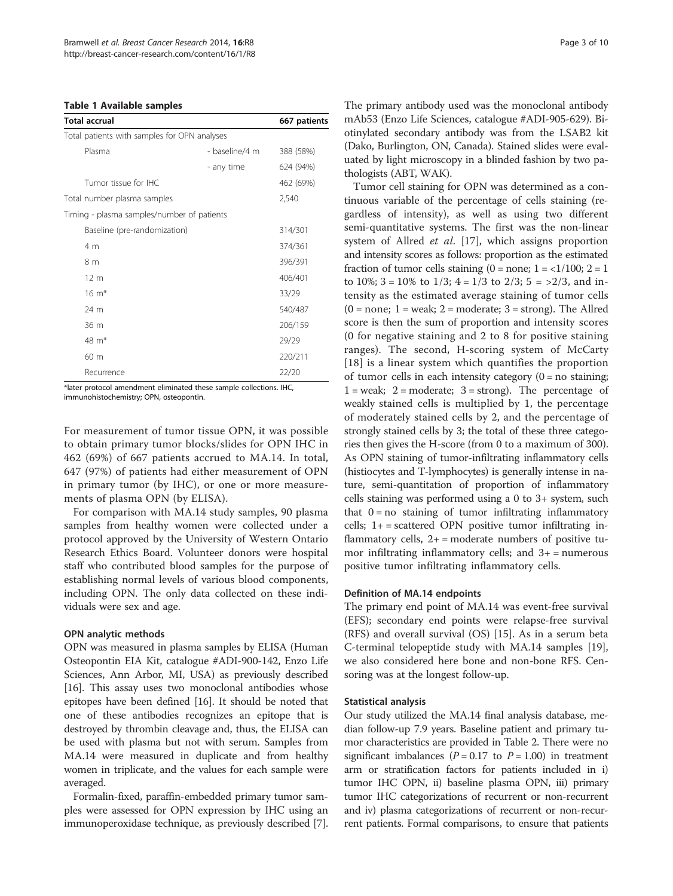<span id="page-2-0"></span>

|  |  |  |  |  | Table 1 Available samples |  |
|--|--|--|--|--|---------------------------|--|
|--|--|--|--|--|---------------------------|--|

| <b>Total accrual</b>                         |                | 667 patients |
|----------------------------------------------|----------------|--------------|
| Total patients with samples for OPN analyses |                |              |
| Plasma                                       | - baseline/4 m | 388 (58%)    |
|                                              | - any time     | 624 (94%)    |
| Tumor tissue for IHC                         |                | 462 (69%)    |
| Total number plasma samples                  |                | 2,540        |
| Timing - plasma samples/number of patients   |                |              |
| Baseline (pre-randomization)                 |                | 314/301      |
| 4 m                                          |                | 374/361      |
| 8 m                                          |                | 396/391      |
| 12 <sub>m</sub>                              |                | 406/401      |
| $16 \text{ m}^*$                             |                | 33/29        |
| 24 m                                         |                | 540/487      |
| 36 m                                         |                | 206/159      |
| 48 m <sup>*</sup>                            |                | 29/29        |
| 60 <sub>m</sub>                              |                | 220/211      |
| Recurrence                                   |                | 22/20        |

\*later protocol amendment eliminated these sample collections. IHC, immunohistochemistry; OPN, osteopontin.

For measurement of tumor tissue OPN, it was possible to obtain primary tumor blocks/slides for OPN IHC in 462 (69%) of 667 patients accrued to MA.14. In total, 647 (97%) of patients had either measurement of OPN in primary tumor (by IHC), or one or more measurements of plasma OPN (by ELISA).

For comparison with MA.14 study samples, 90 plasma samples from healthy women were collected under a protocol approved by the University of Western Ontario Research Ethics Board. Volunteer donors were hospital staff who contributed blood samples for the purpose of establishing normal levels of various blood components, including OPN. The only data collected on these individuals were sex and age.

#### OPN analytic methods

OPN was measured in plasma samples by ELISA (Human Osteopontin EIA Kit, catalogue #ADI-900-142, Enzo Life Sciences, Ann Arbor, MI, USA) as previously described [[16](#page-9-0)]. This assay uses two monoclonal antibodies whose epitopes have been defined [\[16\]](#page-9-0). It should be noted that one of these antibodies recognizes an epitope that is destroyed by thrombin cleavage and, thus, the ELISA can be used with plasma but not with serum. Samples from MA.14 were measured in duplicate and from healthy women in triplicate, and the values for each sample were averaged.

Formalin-fixed, paraffin-embedded primary tumor samples were assessed for OPN expression by IHC using an immunoperoxidase technique, as previously described [[7](#page-8-0)]. The primary antibody used was the monoclonal antibody mAb53 (Enzo Life Sciences, catalogue #ADI-905-629). Biotinylated secondary antibody was from the LSAB2 kit (Dako, Burlington, ON, Canada). Stained slides were evaluated by light microscopy in a blinded fashion by two pathologists (ABT, WAK).

Tumor cell staining for OPN was determined as a continuous variable of the percentage of cells staining (regardless of intensity), as well as using two different semi-quantitative systems. The first was the non-linear system of Allred *et al.* [\[17](#page-9-0)], which assigns proportion and intensity scores as follows: proportion as the estimated fraction of tumor cells staining  $(0 = none; 1 = <1/100; 2 = 1$ to 10%;  $3 = 10\%$  to  $1/3$ ;  $4 = 1/3$  to  $2/3$ ;  $5 = \frac{2}{3}$ , and intensity as the estimated average staining of tumor cells  $(0 = none; 1 = weak; 2 = moderate; 3 = strong)$ . The Allred score is then the sum of proportion and intensity scores (0 for negative staining and 2 to 8 for positive staining ranges). The second, H-scoring system of McCarty [[18](#page-9-0)] is a linear system which quantifies the proportion of tumor cells in each intensity category  $(0 = no$  staining;  $1 = weak$ ;  $2 = moderate$ ;  $3 = strong$ ). The percentage of weakly stained cells is multiplied by 1, the percentage of moderately stained cells by 2, and the percentage of strongly stained cells by 3; the total of these three categories then gives the H-score (from 0 to a maximum of 300). As OPN staining of tumor-infiltrating inflammatory cells (histiocytes and T-lymphocytes) is generally intense in nature, semi-quantitation of proportion of inflammatory cells staining was performed using a 0 to 3+ system, such that  $0 = no$  staining of tumor infiltrating inflammatory cells;  $1+$  = scattered OPN positive tumor infiltrating inflammatory cells,  $2+$  = moderate numbers of positive tumor infiltrating inflammatory cells; and  $3+$  = numerous positive tumor infiltrating inflammatory cells.

#### Definition of MA.14 endpoints

The primary end point of MA.14 was event-free survival (EFS); secondary end points were relapse-free survival (RFS) and overall survival (OS) [\[15](#page-8-0)]. As in a serum beta C-terminal telopeptide study with MA.14 samples [\[19](#page-9-0)], we also considered here bone and non-bone RFS. Censoring was at the longest follow-up.

#### Statistical analysis

Our study utilized the MA.14 final analysis database, median follow-up 7.9 years. Baseline patient and primary tumor characteristics are provided in Table [2](#page-3-0). There were no significant imbalances ( $P = 0.17$  to  $P = 1.00$ ) in treatment arm or stratification factors for patients included in i) tumor IHC OPN, ii) baseline plasma OPN, iii) primary tumor IHC categorizations of recurrent or non-recurrent and iv) plasma categorizations of recurrent or non-recurrent patients. Formal comparisons, to ensure that patients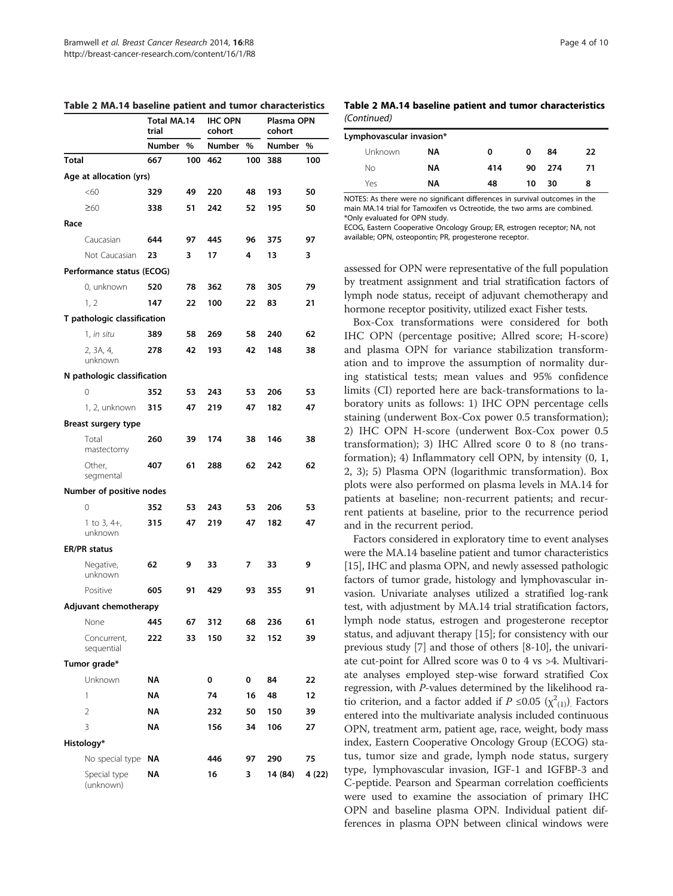|                             | <b>Total MA.14</b><br>trial |     | <b>IHC OPN</b><br>cohort |     | Plasma OPN<br>cohort |        |
|-----------------------------|-----------------------------|-----|--------------------------|-----|----------------------|--------|
|                             | Number                      | %   | Number                   | %   | Number               | $\%$   |
| <b>Total</b>                | 667                         | 100 | 462                      | 100 | 388                  | 100    |
| Age at allocation (yrs)     |                             |     |                          |     |                      |        |
| <60                         | 329                         | 49  | 220                      | 48  | 193                  | 50     |
| $\geq 60$                   | 338                         | 51  | 242                      | 52  | 195                  | 50     |
| Race                        |                             |     |                          |     |                      |        |
| Caucasian                   | 644                         | 97  | 445                      | 96  | 375                  | 97     |
| Not Caucasian               | 23                          | 3   | 17                       | 4   | 13                   | 3      |
| Performance status (ECOG)   |                             |     |                          |     |                      |        |
| 0, unknown                  | 520                         | 78  | 362                      | 78  | 305                  | 79     |
| 1, 2                        | 147                         | 22  | 100                      | 22  | 83                   | 21     |
| T pathologic classification |                             |     |                          |     |                      |        |
| 1, in situ                  | 389                         | 58  | 269                      | 58  | 240                  | 62     |
| 2, 3A, 4,                   | 278                         | 42  | 193                      | 42  | 148                  | 38     |
| unknown                     |                             |     |                          |     |                      |        |
| N pathologic classification |                             |     |                          |     |                      |        |
| 0                           | 352                         | 53  | 243                      | 53  | 206                  | 53     |
| 1, 2, unknown               | 315                         | 47  | 219                      | 47  | 182                  | 47     |
| <b>Breast surgery type</b>  |                             |     |                          |     |                      |        |
| Total<br>mastectomy         | 260                         | 39  | 174                      | 38  | 146                  | 38     |
| Other,<br>segmental         | 407                         | 61  | 288                      | 62  | 242                  | 62     |
| Number of positive nodes    |                             |     |                          |     |                      |        |
| 0                           | 352                         | 53  | 243                      | 53  | 206                  | 53     |
| 1 to $3, 4+,$<br>unknown    | 315                         | 47  | 219                      | 47  | 182                  | 47     |
| <b>ER/PR status</b>         |                             |     |                          |     |                      |        |
| Negative,<br>unknown        | 62                          | 9   | 33                       | 7   | 33                   | 9      |
| Positive                    | 605                         | 91  | 429                      | 93  | 355                  | 91     |
| Adjuvant chemotherapy       |                             |     |                          |     |                      |        |
| None                        | 445                         | 67  | 312                      | 68  | 236                  | 61     |
| Concurrent,<br>sequential   | 222                         | 33  | 150                      | 32  | 152                  | 39     |
| Tumor grade*                |                             |     |                          |     |                      |        |
| Unknown                     | NΑ                          |     | 0                        | 0   | 84                   | 22     |
| 1                           | NΑ                          |     | 74                       | 16  | 48                   | 12     |
| 2                           | NΑ                          |     | 232                      | 50  | 150                  | 39     |
| 3                           | NΛ                          |     | 156                      | 34  | 106                  | 27     |
| Histology*                  |                             |     |                          |     |                      |        |
| No special type             | ΝA                          |     | 446                      | 97  | 290                  | 75     |
| Special type<br>(unknown)   | NΛ                          |     | 16                       | 3   | 14 (84)              | 4 (22) |

<span id="page-3-0"></span>Table 2 MA.14 baseline patient and tumor characteristics

Table 2 MA.14 baseline patient and tumor characteristics (Continued)

| Lymphovascular invasion* |    |     |     |       |    |  |
|--------------------------|----|-----|-----|-------|----|--|
| <b>Unknown</b>           | NA | 0   | 0   | 84    | 22 |  |
| No                       | ΝA | 414 | 90. | - 274 | 71 |  |
| Yes                      | ΝA | 48  | 10. | 30    | 8  |  |

NOTES: As there were no significant differences in survival outcomes in the main MA.14 trial for Tamoxifen vs Octreotide, the two arms are combined. \*Only evaluated for OPN study.

ECOG, Eastern Cooperative Oncology Group; ER, estrogen receptor; NA, not available; OPN, osteopontin; PR, progesterone receptor.

assessed for OPN were representative of the full population by treatment assignment and trial stratification factors of lymph node status, receipt of adjuvant chemotherapy and hormone receptor positivity, utilized exact Fisher tests.

Box-Cox transformations were considered for both IHC OPN (percentage positive; Allred score; H-score) and plasma OPN for variance stabilization transformation and to improve the assumption of normality during statistical tests; mean values and 95% confidence limits (CI) reported here are back-transformations to laboratory units as follows: 1) IHC OPN percentage cells staining (underwent Box-Cox power 0.5 transformation); 2) IHC OPN H-score (underwent Box-Cox power 0.5 transformation); 3) IHC Allred score 0 to 8 (no transformation); 4) Inflammatory cell OPN, by intensity (0, 1, 2, 3); 5) Plasma OPN (logarithmic transformation). Box plots were also performed on plasma levels in MA.14 for patients at baseline; non-recurrent patients; and recurrent patients at baseline, prior to the recurrence period and in the recurrent period.

Factors considered in exploratory time to event analyses were the MA.14 baseline patient and tumor characteristics [[15](#page-8-0)], IHC and plasma OPN, and newly assessed pathologic factors of tumor grade, histology and lymphovascular invasion. Univariate analyses utilized a stratified log-rank test, with adjustment by MA.14 trial stratification factors, lymph node status, estrogen and progesterone receptor status, and adjuvant therapy [[15](#page-8-0)]; for consistency with our previous study [[7](#page-8-0)] and those of others [\[8-10](#page-8-0)], the univariate cut-point for Allred score was 0 to 4 vs >4. Multivariate analyses employed step-wise forward stratified Cox regression, with P-values determined by the likelihood ratio criterion, and a factor added if  $P \le 0.05 \left(\chi^2_{(1)}\right)$ . Factors entered into the multivariate analysis included continuous OPN, treatment arm, patient age, race, weight, body mass index, Eastern Cooperative Oncology Group (ECOG) status, tumor size and grade, lymph node status, surgery type, lymphovascular invasion, IGF-1 and IGFBP-3 and C-peptide. Pearson and Spearman correlation coefficients were used to examine the association of primary IHC OPN and baseline plasma OPN. Individual patient differences in plasma OPN between clinical windows were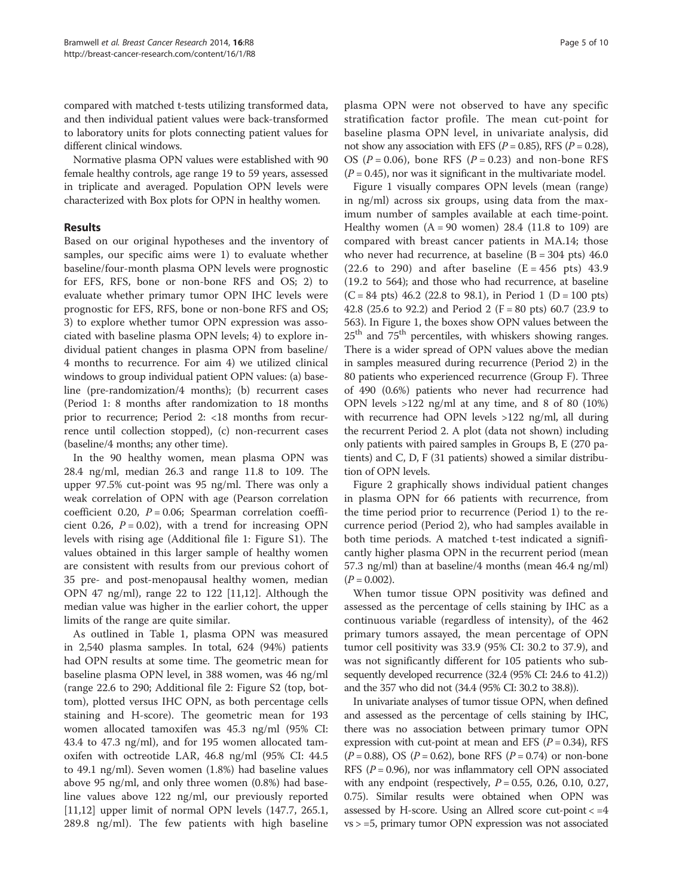compared with matched t-tests utilizing transformed data, and then individual patient values were back-transformed to laboratory units for plots connecting patient values for different clinical windows.

Normative plasma OPN values were established with 90 female healthy controls, age range 19 to 59 years, assessed in triplicate and averaged. Population OPN levels were characterized with Box plots for OPN in healthy women.

# Results

Based on our original hypotheses and the inventory of samples, our specific aims were 1) to evaluate whether baseline/four-month plasma OPN levels were prognostic for EFS, RFS, bone or non-bone RFS and OS; 2) to evaluate whether primary tumor OPN IHC levels were prognostic for EFS, RFS, bone or non-bone RFS and OS; 3) to explore whether tumor OPN expression was associated with baseline plasma OPN levels; 4) to explore individual patient changes in plasma OPN from baseline/ 4 months to recurrence. For aim 4) we utilized clinical windows to group individual patient OPN values: (a) baseline (pre-randomization/4 months); (b) recurrent cases (Period 1: 8 months after randomization to 18 months prior to recurrence; Period 2: <18 months from recurrence until collection stopped), (c) non-recurrent cases (baseline/4 months; any other time).

In the 90 healthy women, mean plasma OPN was 28.4 ng/ml, median 26.3 and range 11.8 to 109. The upper 97.5% cut-point was 95 ng/ml. There was only a weak correlation of OPN with age (Pearson correlation coefficient 0.20,  $P = 0.06$ ; Spearman correlation coefficient 0.26,  $P = 0.02$ ), with a trend for increasing OPN levels with rising age (Additional file [1:](#page-8-0) Figure S1). The values obtained in this larger sample of healthy women are consistent with results from our previous cohort of 35 pre- and post-menopausal healthy women, median OPN 47 ng/ml), range 22 to 122 [[11,12\]](#page-8-0). Although the median value was higher in the earlier cohort, the upper limits of the range are quite similar.

As outlined in Table [1](#page-2-0), plasma OPN was measured in 2,540 plasma samples. In total, 624 (94%) patients had OPN results at some time. The geometric mean for baseline plasma OPN level, in 388 women, was 46 ng/ml (range 22.6 to 290; Additional file [2](#page-8-0): Figure S2 (top, bottom), plotted versus IHC OPN, as both percentage cells staining and H-score). The geometric mean for 193 women allocated tamoxifen was 45.3 ng/ml (95% CI: 43.4 to 47.3 ng/ml), and for 195 women allocated tamoxifen with octreotide LAR, 46.8 ng/ml (95% CI: 44.5 to 49.1 ng/ml). Seven women (1.8%) had baseline values above 95 ng/ml, and only three women (0.8%) had baseline values above 122 ng/ml, our previously reported [[11,12\]](#page-8-0) upper limit of normal OPN levels (147.7, 265.1, 289.8 ng/ml). The few patients with high baseline

plasma OPN were not observed to have any specific stratification factor profile. The mean cut-point for baseline plasma OPN level, in univariate analysis, did not show any association with EFS ( $P = 0.85$ ), RFS ( $P = 0.28$ ), OS ( $P = 0.06$ ), bone RFS ( $P = 0.23$ ) and non-bone RFS  $(P = 0.45)$ , nor was it significant in the multivariate model.

Figure [1](#page-5-0) visually compares OPN levels (mean (range) in ng/ml) across six groups, using data from the maximum number of samples available at each time-point. Healthy women  $(A = 90$  women) 28.4 (11.8 to 109) are compared with breast cancer patients in MA.14; those who never had recurrence, at baseline  $(B = 304$  pts) 46.0  $(22.6 \text{ to } 290)$  and after baseline  $(E = 456 \text{ pts})$  43.9 (19.2 to 564); and those who had recurrence, at baseline  $(C = 84$  pts) 46.2 (22.8 to 98.1), in Period 1 (D = 100 pts) 42.8 (25.6 to 92.2) and Period 2 (F = 80 pts) 60.7 (23.9 to 563). In Figure [1](#page-5-0), the boxes show OPN values between the  $25<sup>th</sup>$  and  $75<sup>th</sup>$  percentiles, with whiskers showing ranges. There is a wider spread of OPN values above the median in samples measured during recurrence (Period 2) in the 80 patients who experienced recurrence (Group F). Three of 490 (0.6%) patients who never had recurrence had OPN levels >122 ng/ml at any time, and 8 of 80 (10%) with recurrence had OPN levels >122 ng/ml, all during the recurrent Period 2. A plot (data not shown) including only patients with paired samples in Groups B, E (270 patients) and C, D, F (31 patients) showed a similar distribution of OPN levels.

Figure [2](#page-5-0) graphically shows individual patient changes in plasma OPN for 66 patients with recurrence, from the time period prior to recurrence (Period 1) to the recurrence period (Period 2), who had samples available in both time periods. A matched t-test indicated a significantly higher plasma OPN in the recurrent period (mean 57.3 ng/ml) than at baseline/4 months (mean 46.4 ng/ml)  $(P = 0.002)$ .

When tumor tissue OPN positivity was defined and assessed as the percentage of cells staining by IHC as a continuous variable (regardless of intensity), of the 462 primary tumors assayed, the mean percentage of OPN tumor cell positivity was 33.9 (95% CI: 30.2 to 37.9), and was not significantly different for 105 patients who subsequently developed recurrence (32.4 (95% CI: 24.6 to 41.2)) and the 357 who did not (34.4 (95% CI: 30.2 to 38.8)).

In univariate analyses of tumor tissue OPN, when defined and assessed as the percentage of cells staining by IHC, there was no association between primary tumor OPN expression with cut-point at mean and EFS  $(P = 0.34)$ , RFS  $(P = 0.88)$ , OS  $(P = 0.62)$ , bone RFS  $(P = 0.74)$  or non-bone RFS ( $P = 0.96$ ), nor was inflammatory cell OPN associated with any endpoint (respectively,  $P = 0.55$ , 0.26, 0.10, 0.27, 0.75). Similar results were obtained when OPN was assessed by H-score. Using an Allred score cut-point  $\lt$  =4 vs > =5, primary tumor OPN expression was not associated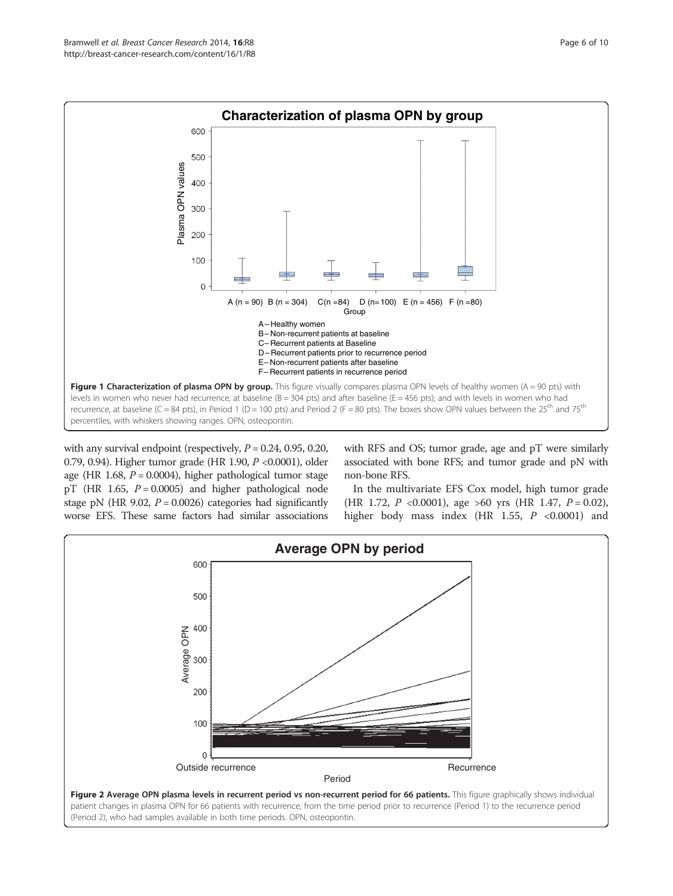<span id="page-5-0"></span>

with any survival endpoint (respectively,  $P = 0.24$ , 0.95, 0.20, 0.79, 0.94). Higher tumor grade (HR 1.90, P <0.0001), older age (HR 1.68,  $P = 0.0004$ ), higher pathological tumor stage pT (HR 1.65,  $P = 0.0005$ ) and higher pathological node stage pN (HR 9.02,  $P = 0.0026$ ) categories had significantly worse EFS. These same factors had similar associations

(Period 2), who had samples available in both time periods. OPN, osteopontin.

with RFS and OS; tumor grade, age and pT were similarly associated with bone RFS; and tumor grade and pN with non-bone RFS.

In the multivariate EFS Cox model, high tumor grade (HR 1.72,  $P \le 0.0001$ ), age  $>60$  yrs (HR 1.47,  $P = 0.02$ ), higher body mass index (HR 1.55,  $P$  <0.0001) and

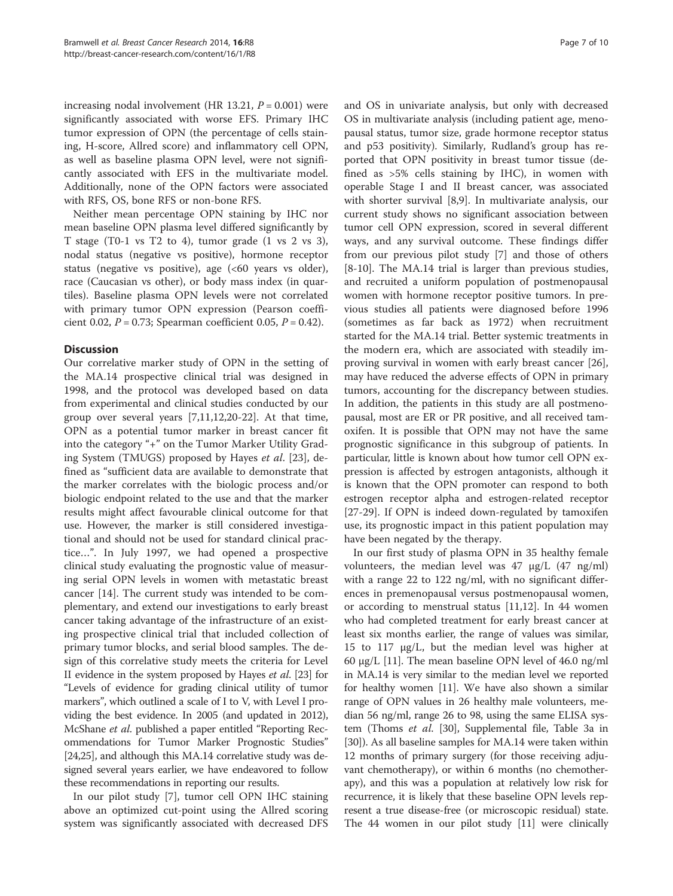increasing nodal involvement (HR 13.21,  $P = 0.001$ ) were significantly associated with worse EFS. Primary IHC tumor expression of OPN (the percentage of cells staining, H-score, Allred score) and inflammatory cell OPN, as well as baseline plasma OPN level, were not significantly associated with EFS in the multivariate model. Additionally, none of the OPN factors were associated with RFS, OS, bone RFS or non-bone RFS.

Neither mean percentage OPN staining by IHC nor mean baseline OPN plasma level differed significantly by T stage (T0-1 vs T2 to 4), tumor grade (1 vs 2 vs 3), nodal status (negative vs positive), hormone receptor status (negative vs positive), age (<60 years vs older), race (Caucasian vs other), or body mass index (in quartiles). Baseline plasma OPN levels were not correlated with primary tumor OPN expression (Pearson coefficient 0.02,  $P = 0.73$ ; Spearman coefficient 0.05,  $P = 0.42$ ).

# **Discussion**

Our correlative marker study of OPN in the setting of the MA.14 prospective clinical trial was designed in 1998, and the protocol was developed based on data from experimental and clinical studies conducted by our group over several years [[7,11,12,](#page-8-0)[20-22\]](#page-9-0). At that time, OPN as a potential tumor marker in breast cancer fit into the category "+" on the Tumor Marker Utility Grading System (TMUGS) proposed by Hayes et al. [[23\]](#page-9-0), defined as "sufficient data are available to demonstrate that the marker correlates with the biologic process and/or biologic endpoint related to the use and that the marker results might affect favourable clinical outcome for that use. However, the marker is still considered investigational and should not be used for standard clinical practice…". In July 1997, we had opened a prospective clinical study evaluating the prognostic value of measuring serial OPN levels in women with metastatic breast cancer [[14\]](#page-8-0). The current study was intended to be complementary, and extend our investigations to early breast cancer taking advantage of the infrastructure of an existing prospective clinical trial that included collection of primary tumor blocks, and serial blood samples. The design of this correlative study meets the criteria for Level II evidence in the system proposed by Hayes et al. [[23](#page-9-0)] for "Levels of evidence for grading clinical utility of tumor markers", which outlined a scale of I to V, with Level I providing the best evidence. In 2005 (and updated in 2012), McShane et al. published a paper entitled "Reporting Recommendations for Tumor Marker Prognostic Studies" [[24,25\]](#page-9-0), and although this MA.14 correlative study was designed several years earlier, we have endeavored to follow these recommendations in reporting our results.

In our pilot study [[7\]](#page-8-0), tumor cell OPN IHC staining above an optimized cut-point using the Allred scoring system was significantly associated with decreased DFS

and OS in univariate analysis, but only with decreased OS in multivariate analysis (including patient age, menopausal status, tumor size, grade hormone receptor status and p53 positivity). Similarly, Rudland's group has reported that OPN positivity in breast tumor tissue (defined as >5% cells staining by IHC), in women with operable Stage I and II breast cancer, was associated with shorter survival [\[8,9](#page-8-0)]. In multivariate analysis, our current study shows no significant association between tumor cell OPN expression, scored in several different ways, and any survival outcome. These findings differ from our previous pilot study [\[7\]](#page-8-0) and those of others [[8-10](#page-8-0)]. The MA.14 trial is larger than previous studies, and recruited a uniform population of postmenopausal women with hormone receptor positive tumors. In previous studies all patients were diagnosed before 1996 (sometimes as far back as 1972) when recruitment started for the MA.14 trial. Better systemic treatments in the modern era, which are associated with steadily improving survival in women with early breast cancer [\[26](#page-9-0)], may have reduced the adverse effects of OPN in primary tumors, accounting for the discrepancy between studies. In addition, the patients in this study are all postmenopausal, most are ER or PR positive, and all received tamoxifen. It is possible that OPN may not have the same prognostic significance in this subgroup of patients. In particular, little is known about how tumor cell OPN expression is affected by estrogen antagonists, although it is known that the OPN promoter can respond to both estrogen receptor alpha and estrogen-related receptor [[27-29](#page-9-0)]. If OPN is indeed down-regulated by tamoxifen use, its prognostic impact in this patient population may have been negated by the therapy.

In our first study of plasma OPN in 35 healthy female volunteers, the median level was 47 μg/L (47 ng/ml) with a range 22 to 122 ng/ml, with no significant differences in premenopausal versus postmenopausal women, or according to menstrual status [\[11,12](#page-8-0)]. In 44 women who had completed treatment for early breast cancer at least six months earlier, the range of values was similar, 15 to 117 μg/L, but the median level was higher at 60 μg/L [\[11](#page-8-0)]. The mean baseline OPN level of 46.0 ng/ml in MA.14 is very similar to the median level we reported for healthy women [\[11\]](#page-8-0). We have also shown a similar range of OPN values in 26 healthy male volunteers, median 56 ng/ml, range 26 to 98, using the same ELISA system (Thoms et al. [[30](#page-9-0)], Supplemental file, Table 3a in [[30](#page-9-0)]). As all baseline samples for MA.14 were taken within 12 months of primary surgery (for those receiving adjuvant chemotherapy), or within 6 months (no chemotherapy), and this was a population at relatively low risk for recurrence, it is likely that these baseline OPN levels represent a true disease-free (or microscopic residual) state. The 44 women in our pilot study [\[11\]](#page-8-0) were clinically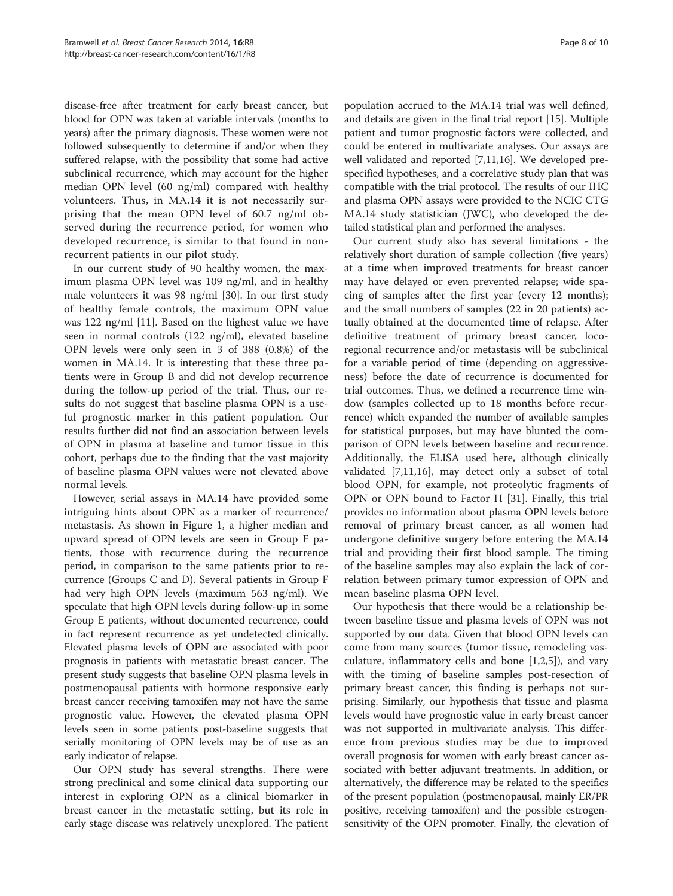disease-free after treatment for early breast cancer, but blood for OPN was taken at variable intervals (months to years) after the primary diagnosis. These women were not followed subsequently to determine if and/or when they suffered relapse, with the possibility that some had active subclinical recurrence, which may account for the higher median OPN level (60 ng/ml) compared with healthy volunteers. Thus, in MA.14 it is not necessarily surprising that the mean OPN level of 60.7 ng/ml observed during the recurrence period, for women who developed recurrence, is similar to that found in nonrecurrent patients in our pilot study.

In our current study of 90 healthy women, the maximum plasma OPN level was 109 ng/ml, and in healthy male volunteers it was 98 ng/ml [[30](#page-9-0)]. In our first study of healthy female controls, the maximum OPN value was 122 ng/ml [\[11](#page-8-0)]. Based on the highest value we have seen in normal controls (122 ng/ml), elevated baseline OPN levels were only seen in 3 of 388 (0.8%) of the women in MA.14. It is interesting that these three patients were in Group B and did not develop recurrence during the follow-up period of the trial. Thus, our results do not suggest that baseline plasma OPN is a useful prognostic marker in this patient population. Our results further did not find an association between levels of OPN in plasma at baseline and tumor tissue in this cohort, perhaps due to the finding that the vast majority of baseline plasma OPN values were not elevated above normal levels.

However, serial assays in MA.14 have provided some intriguing hints about OPN as a marker of recurrence/ metastasis. As shown in Figure [1,](#page-5-0) a higher median and upward spread of OPN levels are seen in Group F patients, those with recurrence during the recurrence period, in comparison to the same patients prior to recurrence (Groups C and D). Several patients in Group F had very high OPN levels (maximum 563 ng/ml). We speculate that high OPN levels during follow-up in some Group E patients, without documented recurrence, could in fact represent recurrence as yet undetected clinically. Elevated plasma levels of OPN are associated with poor prognosis in patients with metastatic breast cancer. The present study suggests that baseline OPN plasma levels in postmenopausal patients with hormone responsive early breast cancer receiving tamoxifen may not have the same prognostic value. However, the elevated plasma OPN levels seen in some patients post-baseline suggests that serially monitoring of OPN levels may be of use as an early indicator of relapse.

Our OPN study has several strengths. There were strong preclinical and some clinical data supporting our interest in exploring OPN as a clinical biomarker in breast cancer in the metastatic setting, but its role in early stage disease was relatively unexplored. The patient

population accrued to the MA.14 trial was well defined, and details are given in the final trial report [[15](#page-8-0)]. Multiple patient and tumor prognostic factors were collected, and could be entered in multivariate analyses. Our assays are well validated and reported [\[7,11,](#page-8-0)[16](#page-9-0)]. We developed prespecified hypotheses, and a correlative study plan that was compatible with the trial protocol. The results of our IHC and plasma OPN assays were provided to the NCIC CTG MA.14 study statistician (JWC), who developed the detailed statistical plan and performed the analyses.

Our current study also has several limitations - the relatively short duration of sample collection (five years) at a time when improved treatments for breast cancer may have delayed or even prevented relapse; wide spacing of samples after the first year (every 12 months); and the small numbers of samples (22 in 20 patients) actually obtained at the documented time of relapse. After definitive treatment of primary breast cancer, locoregional recurrence and/or metastasis will be subclinical for a variable period of time (depending on aggressiveness) before the date of recurrence is documented for trial outcomes. Thus, we defined a recurrence time window (samples collected up to 18 months before recurrence) which expanded the number of available samples for statistical purposes, but may have blunted the comparison of OPN levels between baseline and recurrence. Additionally, the ELISA used here, although clinically validated [[7,11,](#page-8-0)[16\]](#page-9-0), may detect only a subset of total blood OPN, for example, not proteolytic fragments of OPN or OPN bound to Factor H [[31\]](#page-9-0). Finally, this trial provides no information about plasma OPN levels before removal of primary breast cancer, as all women had undergone definitive surgery before entering the MA.14 trial and providing their first blood sample. The timing of the baseline samples may also explain the lack of correlation between primary tumor expression of OPN and mean baseline plasma OPN level.

Our hypothesis that there would be a relationship between baseline tissue and plasma levels of OPN was not supported by our data. Given that blood OPN levels can come from many sources (tumor tissue, remodeling vasculature, inflammatory cells and bone [\[1,2,5](#page-8-0)]), and vary with the timing of baseline samples post-resection of primary breast cancer, this finding is perhaps not surprising. Similarly, our hypothesis that tissue and plasma levels would have prognostic value in early breast cancer was not supported in multivariate analysis. This difference from previous studies may be due to improved overall prognosis for women with early breast cancer associated with better adjuvant treatments. In addition, or alternatively, the difference may be related to the specifics of the present population (postmenopausal, mainly ER/PR positive, receiving tamoxifen) and the possible estrogensensitivity of the OPN promoter. Finally, the elevation of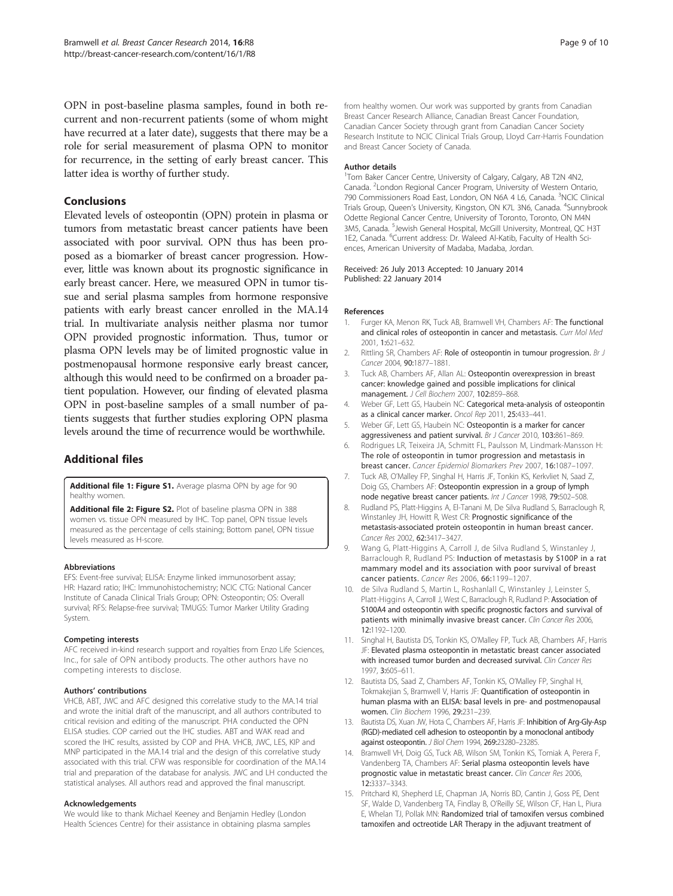<span id="page-8-0"></span>OPN in post-baseline plasma samples, found in both recurrent and non-recurrent patients (some of whom might have recurred at a later date), suggests that there may be a role for serial measurement of plasma OPN to monitor for recurrence, in the setting of early breast cancer. This latter idea is worthy of further study.

#### Conclusions

Elevated levels of osteopontin (OPN) protein in plasma or tumors from metastatic breast cancer patients have been associated with poor survival. OPN thus has been proposed as a biomarker of breast cancer progression. However, little was known about its prognostic significance in early breast cancer. Here, we measured OPN in tumor tissue and serial plasma samples from hormone responsive patients with early breast cancer enrolled in the MA.14 trial. In multivariate analysis neither plasma nor tumor OPN provided prognostic information. Thus, tumor or plasma OPN levels may be of limited prognostic value in postmenopausal hormone responsive early breast cancer, although this would need to be confirmed on a broader patient population. However, our finding of elevated plasma OPN in post-baseline samples of a small number of patients suggests that further studies exploring OPN plasma levels around the time of recurrence would be worthwhile.

# Additional files

[Additional file 1: Figure S1.](http://www.biomedcentral.com/content/supplementary/bcr3600-S1.pptx) Average plasma OPN by age for 90 healthy women.

[Additional file 2: Figure S2.](http://www.biomedcentral.com/content/supplementary/bcr3600-S2.pptx) Plot of baseline plasma OPN in 388 women vs. tissue OPN measured by IHC. Top panel, OPN tissue levels measured as the percentage of cells staining; Bottom panel, OPN tissue levels measured as H-score.

#### Abbreviations

EFS: Event-free survival; ELISA: Enzyme linked immunosorbent assay; HR: Hazard ratio; IHC: Immunohistochemistry; NCIC CTG: National Cancer Institute of Canada Clinical Trials Group; OPN: Osteopontin; OS: Overall survival; RFS: Relapse-free survival; TMUGS: Tumor Marker Utility Grading System.

#### Competing interests

AFC received in-kind research support and royalties from Enzo Life Sciences, Inc., for sale of OPN antibody products. The other authors have no competing interests to disclose.

#### Authors' contributions

VHCB, ABT, JWC and AFC designed this correlative study to the MA.14 trial and wrote the initial draft of the manuscript, and all authors contributed to critical revision and editing of the manuscript. PHA conducted the OPN ELISA studies. COP carried out the IHC studies. ABT and WAK read and scored the IHC results, assisted by COP and PHA. VHCB, JWC, LES, KIP and MNP participated in the MA.14 trial and the design of this correlative study associated with this trial. CFW was responsible for coordination of the MA.14 trial and preparation of the database for analysis. JWC and LH conducted the statistical analyses. All authors read and approved the final manuscript.

#### Acknowledgements

We would like to thank Michael Keeney and Benjamin Hedley (London Health Sciences Centre) for their assistance in obtaining plasma samples

from healthy women. Our work was supported by grants from Canadian Breast Cancer Research Alliance, Canadian Breast Cancer Foundation, Canadian Cancer Society through grant from Canadian Cancer Society Research Institute to NCIC Clinical Trials Group, Lloyd Carr-Harris Foundation and Breast Cancer Society of Canada.

#### Author details

<sup>1</sup>Tom Baker Cancer Centre, University of Calgary, Calgary, AB T2N 4N2, Canada. <sup>2</sup> London Regional Cancer Program, University of Western Ontario 790 Commissioners Road East, London, ON N6A 4 L6, Canada. <sup>3</sup>NCIC Clinical Trials Group, Queen's University, Kingston, ON K7L 3N6, Canada. <sup>4</sup>Sunnybrook Odette Regional Cancer Centre, University of Toronto, Toronto, ON M4N 3M5, Canada. <sup>5</sup> Jewish General Hospital, McGill University, Montreal, QC H3T 1E2, Canada. <sup>6</sup>Current address: Dr. Waleed Al-Katib, Faculty of Health Sciences, American University of Madaba, Madaba, Jordan.

Received: 26 July 2013 Accepted: 10 January 2014 Published: 22 January 2014

#### References

- 1. Furger KA, Menon RK, Tuck AB, Bramwell VH, Chambers AF: The functional and clinical roles of osteopontin in cancer and metastasis. Curr Mol Med 2001, 1:621–632.
- 2. Rittling SR, Chambers AF: Role of osteopontin in tumour progression. Br J Cancer 2004, 90:1877–1881.
- 3. Tuck AB, Chambers AF, Allan AL: Osteopontin overexpression in breast cancer: knowledge gained and possible implications for clinical management. J Cell Biochem 2007, 102:859–868.
- 4. Weber GF, Lett GS, Haubein NC: Categorical meta-analysis of osteopontin as a clinical cancer marker. Oncol Rep 2011, 25:433–441.
- 5. Weber GF, Lett GS, Haubein NC: Osteopontin is a marker for cancer aggressiveness and patient survival. Br J Cancer 2010, 103:861–869.
- 6. Rodrigues LR, Teixeira JA, Schmitt FL, Paulsson M, Lindmark-Mansson H: The role of osteopontin in tumor progression and metastasis in breast cancer. Cancer Epidemiol Biomarkers Prev 2007, 16:1087–1097.
- 7. Tuck AB, O'Malley FP, Singhal H, Harris JF, Tonkin KS, Kerkvliet N, Saad Z, Doig GS, Chambers AF: Osteopontin expression in a group of lymph node negative breast cancer patients. Int J Cancer 1998, 79:502-508.
- 8. Rudland PS, Platt-Higgins A, El-Tanani M, De Silva Rudland S, Barraclough R, Winstanley JH, Howitt R, West CR: Prognostic significance of the metastasis-associated protein osteopontin in human breast cancer. Cancer Res 2002, 62:3417–3427.
- 9. Wang G, Platt-Higgins A, Carroll J, de Silva Rudland S, Winstanley J, Barraclough R, Rudland PS: Induction of metastasis by S100P in a rat mammary model and its association with poor survival of breast cancer patients. Cancer Res 2006, 66:1199–1207.
- 10. de Silva Rudland S, Martin L, Roshanlall C, Winstanley J, Leinster S, Platt-Higgins A, Carroll J, West C, Barraclough R, Rudland P: Association of S100A4 and osteopontin with specific prognostic factors and survival of patients with minimally invasive breast cancer. Clin Cancer Res 2006, 12:1192–1200.
- 11. Singhal H, Bautista DS, Tonkin KS, O'Malley FP, Tuck AB, Chambers AF, Harris JF: Elevated plasma osteopontin in metastatic breast cancer associated with increased tumor burden and decreased survival. Clin Cancer Res 1997, 3:605–611.
- 12. Bautista DS, Saad Z, Chambers AF, Tonkin KS, O'Malley FP, Singhal H, Tokmakejian S, Bramwell V, Harris JF: Quantification of osteopontin in human plasma with an ELISA: basal levels in pre- and postmenopausal women. Clin Biochem 1996, 29:231–239.
- 13. Bautista DS, Xuan JW, Hota C, Chambers AF, Harris JF: Inhibition of Arg-Gly-Asp (RGD)-mediated cell adhesion to osteopontin by a monoclonal antibody against osteopontin. J Biol Chem 1994, 269:23280-23285.
- 14. Bramwell VH, Doig GS, Tuck AB, Wilson SM, Tonkin KS, Tomiak A, Perera F, Vandenberg TA, Chambers AF: Serial plasma osteopontin levels have prognostic value in metastatic breast cancer. Clin Cancer Res 2006, 12:3337–3343.
- 15. Pritchard KI, Shepherd LE, Chapman JA, Norris BD, Cantin J, Goss PE, Dent SF, Walde D, Vandenberg TA, Findlay B, O'Reilly SE, Wilson CF, Han L, Piura E, Whelan TJ, Pollak MN: Randomized trial of tamoxifen versus combined tamoxifen and octreotide LAR Therapy in the adjuvant treatment of